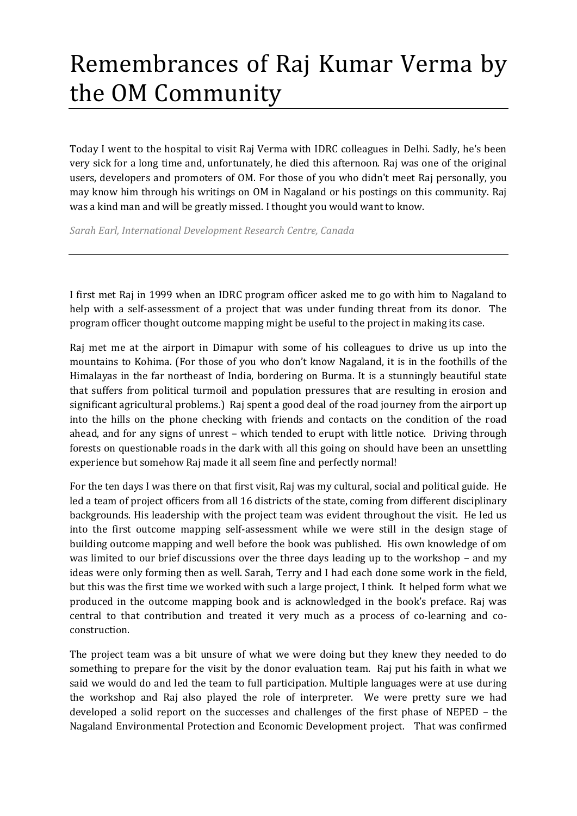## Remembrances of Raj Kumar Verma by the OM Community

Today I went to the hospital to visit Raj Verma with IDRC colleagues in Delhi. Sadly, he's been very sick for a long time and, unfortunately, he died this afternoon. Raj was one of the original users, developers and promoters of OM. For those of you who didn't meet Raj personally, you may know him through his writings on OM in Nagaland or his postings on this community. Raj was a kind man and will be greatly missed. I thought you would want to know.

*Sarah Earl, International Development Research Centre, Canada*

I first met Raj in 1999 when an IDRC program officer asked me to go with him to Nagaland to help with a self-assessment of a project that was under funding threat from its donor. The program officer thought outcome mapping might be useful to the project in making its case.

Raj met me at the airport in Dimapur with some of his colleagues to drive us up into the mountains to Kohima. (For those of you who don't know Nagaland, it is in the foothills of the Himalayas in the far northeast of India, bordering on Burma. It is a stunningly beautiful state that suffers from political turmoil and population pressures that are resulting in erosion and significant agricultural problems.) Raj spent a good deal of the road journey from the airport up into the hills on the phone checking with friends and contacts on the condition of the road ahead, and for any signs of unrest – which tended to erupt with little notice. Driving through forests on questionable roads in the dark with all this going on should have been an unsettling experience but somehow Raj made it all seem fine and perfectly normal!

For the ten days I was there on that first visit, Raj was my cultural, social and political guide. He led a team of project officers from all 16 districts of the state, coming from different disciplinary backgrounds. His leadership with the project team was evident throughout the visit. He led us into the first outcome mapping self-assessment while we were still in the design stage of building outcome mapping and well before the book was published. His own knowledge of om was limited to our brief discussions over the three days leading up to the workshop – and my ideas were only forming then as well. Sarah, Terry and I had each done some work in the field, but this was the first time we worked with such a large project, I think. It helped form what we produced in the outcome mapping book and is acknowledged in the book's preface. Raj was central to that contribution and treated it very much as a process of co-learning and coconstruction.

The project team was a bit unsure of what we were doing but they knew they needed to do something to prepare for the visit by the donor evaluation team. Raj put his faith in what we said we would do and led the team to full participation. Multiple languages were at use during the workshop and Raj also played the role of interpreter. We were pretty sure we had developed a solid report on the successes and challenges of the first phase of NEPED – the Nagaland Environmental Protection and Economic Development project. That was confirmed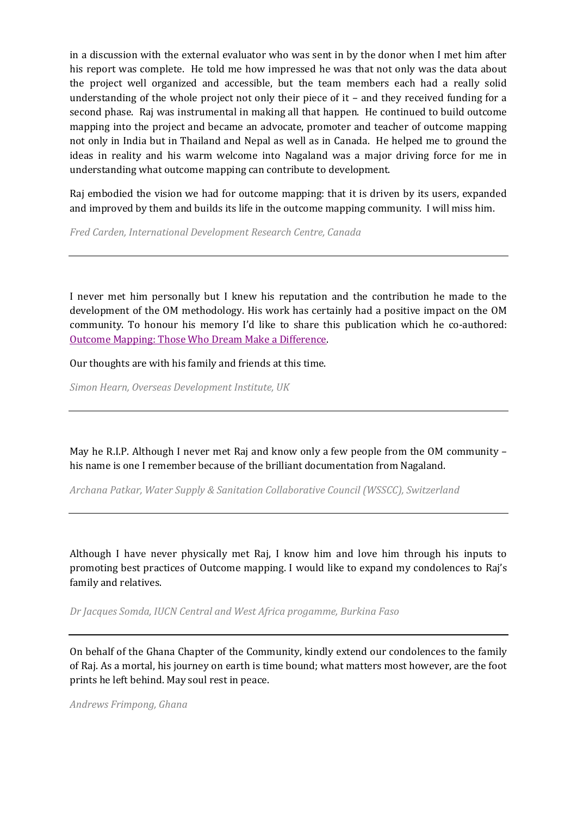in a discussion with the external evaluator who was sent in by the donor when I met him after his report was complete. He told me how impressed he was that not only was the data about the project well organized and accessible, but the team members each had a really solid understanding of the whole project not only their piece of it – and they received funding for a second phase. Raj was instrumental in making all that happen. He continued to build outcome mapping into the project and became an advocate, promoter and teacher of outcome mapping not only in India but in Thailand and Nepal as well as in Canada. He helped me to ground the ideas in reality and his warm welcome into Nagaland was a major driving force for me in understanding what outcome mapping can contribute to development.

Raj embodied the vision we had for outcome mapping: that it is driven by its users, expanded and improved by them and builds its life in the outcome mapping community. I will miss him.

*Fred Carden, International Development Research Centre, Canada*

I never met him personally but I knew his reputation and the contribution he made to the development of the OM methodology. His work has certainly had a positive impact on the OM community. To honour his memory I'd like to share this publication which he co-authored: [Outcome Mapping: Those Who Dream Make a Difference.](http://outcomemapping.ca/resource/resource.php?id=22)

Our thoughts are with his family and friends at this time.

*Simon Hearn, Overseas Development Institute, UK*

May he R.I.P. Although I never met Raj and know only a few people from the OM community – his name is one I remember because of the brilliant documentation from Nagaland.

*Archana Patkar, Water Supply & Sanitation Collaborative Council (WSSCC), Switzerland*

Although I have never physically met Raj, I know him and love him through his inputs to promoting best practices of Outcome mapping. I would like to expand my condolences to Raj's family and relatives.

*Dr Jacques Somda, IUCN Central and West Africa progamme, Burkina Faso*

On behalf of the Ghana Chapter of the Community, kindly extend our condolences to the family of Raj. As a mortal, his journey on earth is time bound; what matters most however, are the foot prints he left behind. May soul rest in peace.

*Andrews Frimpong, Ghana*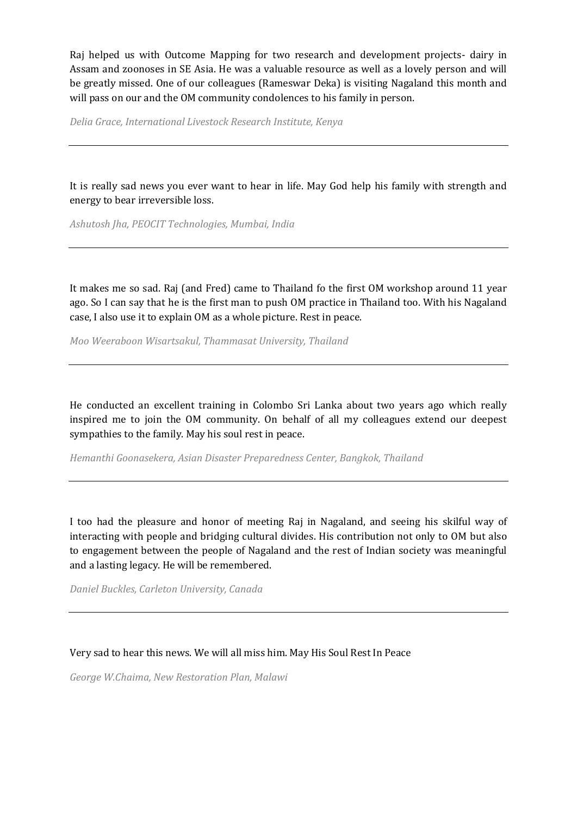Raj helped us with Outcome Mapping for two research and development projects- dairy in Assam and zoonoses in SE Asia. He was a valuable resource as well as a lovely person and will be greatly missed. One of our colleagues (Rameswar Deka) is visiting Nagaland this month and will pass on our and the OM community condolences to his family in person.

*Delia Grace, International Livestock Research Institute, Kenya*

It is really sad news you ever want to hear in life. May God help his family with strength and energy to bear irreversible loss.

*Ashutosh Jha, PEOCIT Technologies, Mumbai, India*

It makes me so sad. Raj (and Fred) came to Thailand fo the first OM workshop around 11 year ago. So I can say that he is the first man to push OM practice in Thailand too. With his Nagaland case, I also use it to explain OM as a whole picture. Rest in peace.

*Moo Weeraboon Wisartsakul, Thammasat University, Thailand*

He conducted an excellent training in Colombo Sri Lanka about two years ago which really inspired me to join the OM community. On behalf of all my colleagues extend our deepest sympathies to the family. May his soul rest in peace.

*Hemanthi Goonasekera, Asian Disaster Preparedness Center, Bangkok, Thailand* 

I too had the pleasure and honor of meeting Raj in Nagaland, and seeing his skilful way of interacting with people and bridging cultural divides. His contribution not only to OM but also to engagement between the people of Nagaland and the rest of Indian society was meaningful and a lasting legacy. He will be remembered.

*Daniel Buckles, Carleton University, Canada*

Very sad to hear this news. We will all miss him. May His Soul Rest In Peace

*George W.Chaima, New Restoration Plan, Malawi*